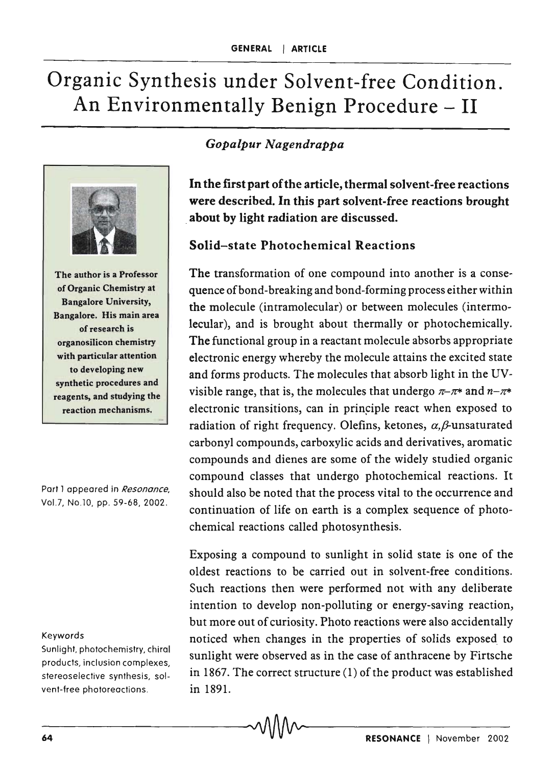# Organic Synthesis under Solvent-free Condition. An Environmentally Benign Procedure – II





#### Solid-state Photochemical Reactions

The transformation of one compound into another is a consequence of bond-breaking and bond-forming process either within the molecule (intramolecular) or between molecules (intermolecular), and is brought about thermally or photochemically. The functional group in a reactant molecule absorbs appropriate electronic energy whereby the molecule attains the excited state and forms products. The molecules that absorb light in the UVvisible range, that is, the molecules that undergo  $\pi-\pi^*$  and  $n-\pi^*$ electronic transitions, can in principle react when exposed to radiation of right frequency. Olefins, ketones,  $\alpha$ ,  $\beta$ -unsaturated carbonyl compounds, carboxylic acids and derivatives, aromatic compounds and dienes are some of the widely studied organic compound classes that undergo photochemical reactions. It should also be noted that the process vital to the occurrence and continuation of life on earth is a complex sequence of photochemical reactions called photosynthesis.

Exposing a compound to sunlight in solid state is one of the oldest reactions to be carried out in solvent-free conditions. Such reactions then were performed not with any deliberate intention to develop non-polluting or energy-saving reaction, but more out of curiosity. Photo reactions were also accidentally noticed when changes in the properties of solids exposed to sunlight were observed as in the case of anthracene by Firtsche in 1867. The correct structure (1) of the product was established in 1891.

The author is a Professor

of Organic Chemistry at Bangalore University, Bangalore. His main area of research is organosilicon chemistry with particular attention to developing new synthetic procedures and reagents, and studying the reaction mechanisms.

Part 1 appeared in Resonance, Vol.7, No.10, pp. 59-68, 2002.

#### Keywords

Sunlight, photochemistry, chiral products, inclusion complexes, stereoselective synthesis, solvent-free photoreactions.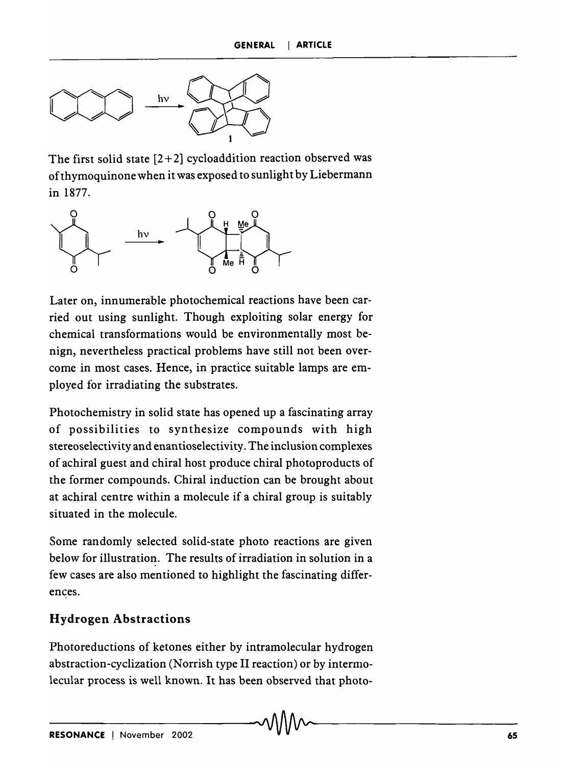

The first solid state  $[2+2]$  cycloaddition reaction observed was of thymoquinone when it was exposed to sunlight by Liebermann in 1877.



Later on, innumerable photochemical reactions have been carried out using sunlight. Though exploiting solar energy for chemical transformations would be environmentally most benign, nevertheless practical problems have still not been overcome in most cases. Hence, in practice suitable lamps are employed for irradiating the substrates.

Photochemistry in solid state has opened up a fascinating array of possibilities to synthesize compounds with high stereoselectivity and enantioselectivity. The inclusion complexes of achiral guest and chiral host produce chiral photoproducts of the former compounds. Chiral induction can be brought about at achiral centre within a molecule if a chiral group is suitably situated in the molecule.

Some randomly selected solid-state photo reactions are given below for illustration. The results of irradiation in solution in a few cases are also mentioned to highlight the fascinating differences.

### **Hydrogen Abstractions**

Photoreductions of ketones either by intramolecular hydrogen abstraction-cyclization (Norrish type II reaction) or by intermolecular process is well known. It has been observed that photo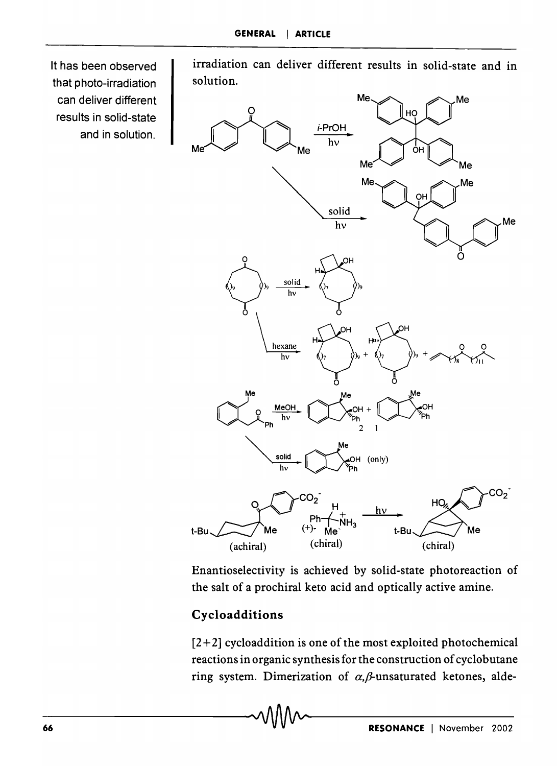It has been observed that photo-irradiation can deliver different results in solid-state and in solution.

irradiation can deliver different results in solid-state and in solution.



Enantioselectivity is achieved by solid-state photoreaction of the salt of a prochiral keto acid and optically active amine.

## **Cycloadditions**

 $[2+2]$  cycloaddition is one of the most exploited photochemical reactions in organic synthesis for the construction of cydobutane ring system. Dimerization of  $\alpha$ ,  $\beta$ -unsaturated ketones, alde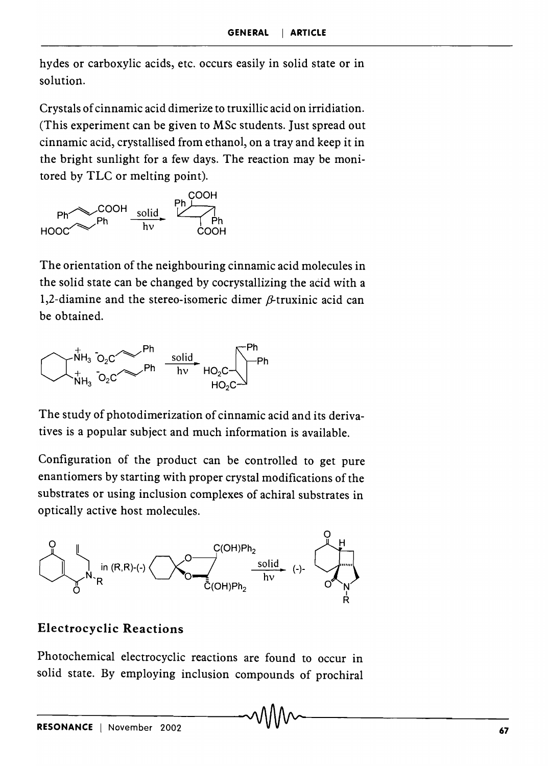hydes or carboxylic acids, etc. occurs easily in solid state or in solution.

Crystals of cinnamic acid dimerize to truxillic acid on irridiation. (This experiment can be given to MSc students. Just spread out cinnamic acid, crystallised from ethanol, on a tray and keep it in the bright sunlight for a few days. The reaction may be monitored by TLC or melting point).



The orientation of the neighbouring cinnamic acid molecules in the solid state can be changed by cocrystallizing the acid with a 1,2-diamine and the stereo-isomeric dimer  $\beta$ -truxinic acid can be obtained.



The study of photodimerization of cinnamic acid and its derivatives is a popular subject and much information is available.

Configuration of the product can be controlled to get pure enantiomers by starting with proper crystal modifications of the substrates or using inclusion complexes of achiral substrates in optically active host molecules.



#### **Electrocyclic Reactions**

Photochemical electrocyclic reactions are found to occur in solid state. By employing inclusion compounds of prochiral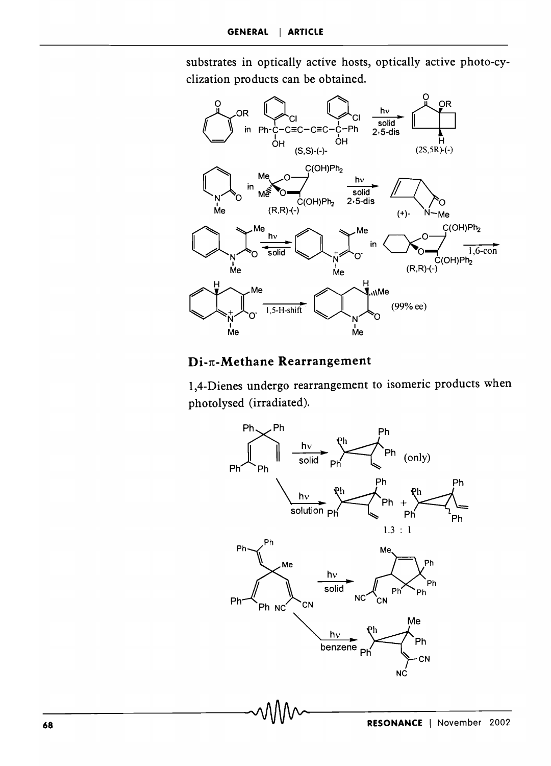substrates in optically active hosts, optically active photo-cyclization products can be obtained.



#### Di- $\pi$ -Methane Rearrangement

1,4-Dienes undergo rearrangement to isomeric products when photolysed (irradiated).